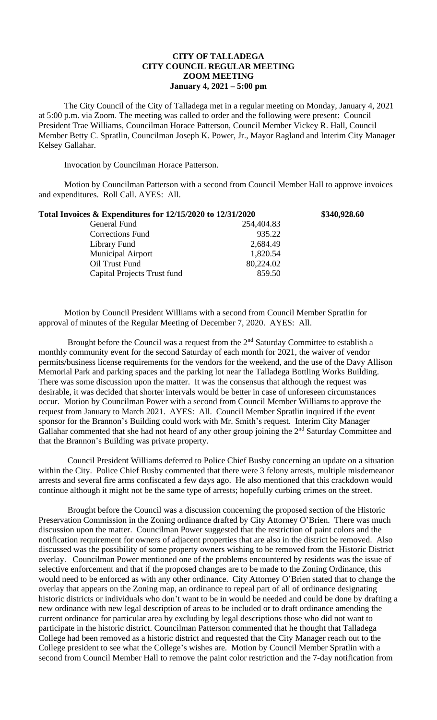## **CITY OF TALLADEGA CITY COUNCIL REGULAR MEETING ZOOM MEETING January 4, 2021 – 5:00 pm**

The City Council of the City of Talladega met in a regular meeting on Monday, January 4, 2021 at 5:00 p.m. via Zoom. The meeting was called to order and the following were present: Council President Trae Williams, Councilman Horace Patterson, Council Member Vickey R. Hall, Council Member Betty C. Spratlin, Councilman Joseph K. Power, Jr., Mayor Ragland and Interim City Manager Kelsey Gallahar.

Invocation by Councilman Horace Patterson.

Motion by Councilman Patterson with a second from Council Member Hall to approve invoices and expenditures. Roll Call. AYES: All.

| Total Invoices & Expenditures for 12/15/2020 to 12/31/2020 |            | \$340,928.60 |
|------------------------------------------------------------|------------|--------------|
| General Fund                                               | 254,404.83 |              |
| <b>Corrections Fund</b>                                    | 935.22     |              |
| Library Fund                                               | 2,684.49   |              |
| <b>Municipal Airport</b>                                   | 1,820.54   |              |
| Oil Trust Fund                                             | 80,224.02  |              |
| Capital Projects Trust fund                                | 859.50     |              |
|                                                            |            |              |

Motion by Council President Williams with a second from Council Member Spratlin for approval of minutes of the Regular Meeting of December 7, 2020. AYES: All.

Brought before the Council was a request from the  $2<sup>nd</sup>$  Saturday Committee to establish a monthly community event for the second Saturday of each month for 2021, the waiver of vendor permits/business license requirements for the vendors for the weekend, and the use of the Davy Allison Memorial Park and parking spaces and the parking lot near the Talladega Bottling Works Building. There was some discussion upon the matter. It was the consensus that although the request was desirable, it was decided that shorter intervals would be better in case of unforeseen circumstances occur. Motion by Councilman Power with a second from Council Member Williams to approve the request from January to March 2021. AYES: All. Council Member Spratlin inquired if the event sponsor for the Brannon's Building could work with Mr. Smith's request. Interim City Manager Gallahar commented that she had not heard of any other group joining the 2<sup>nd</sup> Saturday Committee and that the Brannon's Building was private property.

Council President Williams deferred to Police Chief Busby concerning an update on a situation within the City. Police Chief Busby commented that there were 3 felony arrests, multiple misdemeanor arrests and several fire arms confiscated a few days ago. He also mentioned that this crackdown would continue although it might not be the same type of arrests; hopefully curbing crimes on the street.

Brought before the Council was a discussion concerning the proposed section of the Historic Preservation Commission in the Zoning ordinance drafted by City Attorney O'Brien. There was much discussion upon the matter. Councilman Power suggested that the restriction of paint colors and the notification requirement for owners of adjacent properties that are also in the district be removed. Also discussed was the possibility of some property owners wishing to be removed from the Historic District overlay. Councilman Power mentioned one of the problems encountered by residents was the issue of selective enforcement and that if the proposed changes are to be made to the Zoning Ordinance, this would need to be enforced as with any other ordinance. City Attorney O'Brien stated that to change the overlay that appears on the Zoning map, an ordinance to repeal part of all of ordinance designating historic districts or individuals who don't want to be in would be needed and could be done by drafting a new ordinance with new legal description of areas to be included or to draft ordinance amending the current ordinance for particular area by excluding by legal descriptions those who did not want to participate in the historic district. Councilman Patterson commented that he thought that Talladega College had been removed as a historic district and requested that the City Manager reach out to the College president to see what the College's wishes are. Motion by Council Member Spratlin with a second from Council Member Hall to remove the paint color restriction and the 7-day notification from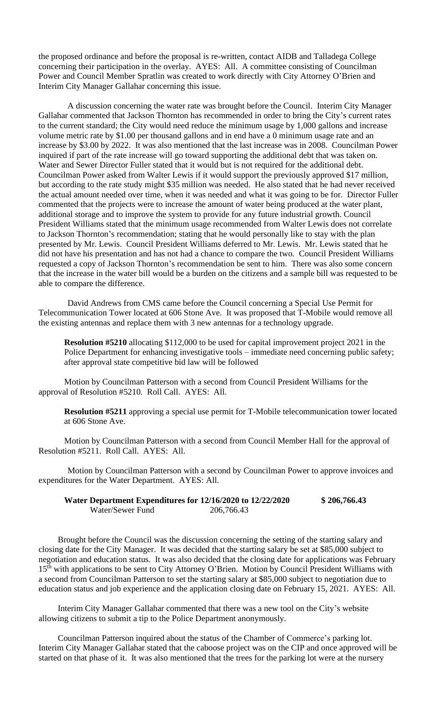the proposed ordinance and before the proposal is re-written, contact AIDB and Talladega College concerning their participation in the overlay. AYES: All. A committee consisting of Councilman Power and Council Member Spratlin was created to work directly with City Attorney O'Brien and Interim City Manager Gallahar concerning this issue.

A discussion concerning the water rate was brought before the Council. Interim City Manager Gallahar commented that Jackson Thornton has recommended in order to bring the City's current rates to the current standard; the City would need reduce the minimum usage by 1,000 gallons and increase volume metric rate by \$1.00 per thousand gallons and in end have a 0 minimum usage rate and an increase by \$3.00 by 2022. It was also mentioned that the last increase was in 2008. Councilman Power inquired if part of the rate increase will go toward supporting the additional debt that was taken on. Water and Sewer Director Fuller stated that it would but is not required for the additional debt. Councilman Power asked from Walter Lewis if it would support the previously approved \$17 million, but according to the rate study might \$35 million was needed. He also stated that he had never received the actual amount needed over time, when it was needed and what it was going to be for. Director Fuller commented that the projects were to increase the amount of water being produced at the water plant, additional storage and to improve the system to provide for any future industrial growth. Council President Williams stated that the minimum usage recommended from Walter Lewis does not correlate to Jackson Thornton's recommendation; stating that he would personally like to stay with the plan presented by Mr. Lewis. Council President Williams deferred to Mr. Lewis. Mr. Lewis stated that he did not have his presentation and has not had a chance to compare the two. Council President Williams requested a copy of Jackson Thornton's recommendation be sent to him. There was also some concern that the increase in the water bill would be a burden on the citizens and a sample bill was requested to be able to compare the difference.

David Andrews from CMS came before the Council concerning a Special Use Permit for Telecommunication Tower located at 606 Stone Ave. It was proposed that T-Mobile would remove all the existing antennas and replace them with 3 new antennas for a technology upgrade.

**Resolution #5210** allocating \$112,000 to be used for capital improvement project 2021 in the Police Department for enhancing investigative tools – immediate need concerning public safety; after approval state competitive bid law will be followed

Motion by Councilman Patterson with a second from Council President Williams for the approval of Resolution #5210. Roll Call. AYES: All.

**Resolution #5211** approving a special use permit for T-Mobile telecommunication tower located at 606 Stone Ave.

Motion by Councilman Patterson with a second from Council Member Hall for the approval of Resolution #5211. Roll Call. AYES: All.

Motion by Councilman Patterson with a second by Councilman Power to approve invoices and expenditures for the Water Department. AYES: All.

| Water Department Expenditures for 12/16/2020 to 12/22/2020 |            | \$206,766.43 |
|------------------------------------------------------------|------------|--------------|
| Water/Sewer Fund                                           | 206,766.43 |              |

Brought before the Council was the discussion concerning the setting of the starting salary and closing date for the City Manager. It was decided that the starting salary be set at \$85,000 subject to negotiation and education status. It was also decided that the closing date for applications was February 15<sup>th</sup> with applications to be sent to City Attorney O'Brien. Motion by Council President Williams with a second from Councilman Patterson to set the starting salary at \$85,000 subject to negotiation due to education status and job experience and the application closing date on February 15, 2021. AYES: All.

Interim City Manager Gallahar commented that there was a new tool on the City's website allowing citizens to submit a tip to the Police Department anonymously.

Councilman Patterson inquired about the status of the Chamber of Commerce's parking lot. Interim City Manager Gallahar stated that the caboose project was on the CIP and once approved will be started on that phase of it. It was also mentioned that the trees for the parking lot were at the nursery